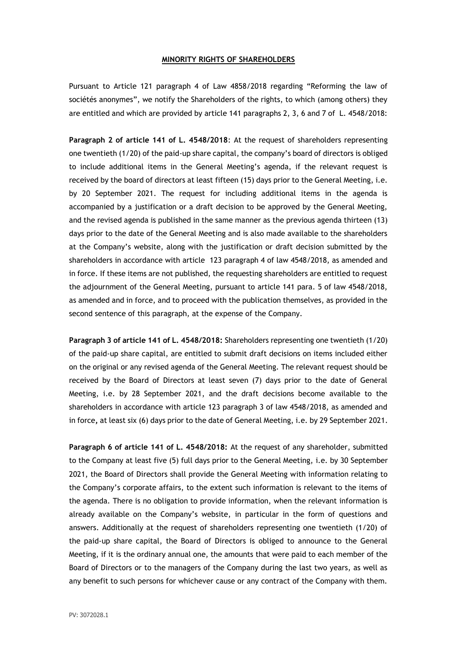## **MINORITY RIGHTS OF SHAREHOLDERS**

Pursuant to Article 121 paragraph 4 of Law 4858/2018 regarding "Reforming the law of sociétés anonymes", we notify the Shareholders of the rights, to which (among others) they are entitled and which are provided by article 141 paragraphs 2, 3, 6 and 7 of L. 4548/2018:

**Paragraph 2 of article 141 of L. 4548/2018**: At the request of shareholders representing one twentieth (1/20) of the paid-up share capital, the company's board of directors is obliged to include additional items in the General Meeting's agenda, if the relevant request is received by the board of directors at least fifteen (15) days prior to the General Meeting, i.e. by 20 September 2021. The request for including additional items in the agenda is accompanied by a justification or a draft decision to be approved by the General Meeting, and the revised agenda is published in the same manner as the previous agenda thirteen (13) days prior to the date of the General Meeting and is also made available to the shareholders at the Company's website, along with the justification or draft decision submitted by the shareholders in accordance with article 123 paragraph 4 of law 4548/2018, as amended and in force. If these items are not published, the requesting shareholders are entitled to request the adjournment of the General Meeting, pursuant to article 141 para. 5 of law 4548/2018, as amended and in force, and to proceed with the publication themselves, as provided in the second sentence of this paragraph, at the expense of the Company.

**Paragraph 3 of article 141 of L. 4548/2018:** Shareholders representing one twentieth (1/20) of the paid-up share capital, are entitled to submit draft decisions on items included either on the original or any revised agenda of the General Meeting. The relevant request should be received by the Board of Directors at least seven (7) days prior to the date of General Meeting, i.e. by 28 September 2021, and the draft decisions become available to the shareholders in accordance with article 123 paragraph 3 of law 4548/2018, as amended and in force**,** at least six (6) days prior to the date of General Meeting, i.e. by 29 September 2021.

**Paragraph 6 of article 141 of L. 4548/2018:** At the request of any shareholder, submitted to the Company at least five (5) full days prior to the General Meeting, i.e. by 30 September 2021, the Board of Directors shall provide the General Meeting with information relating to the Company's corporate affairs, to the extent such information is relevant to the items of the agenda. There is no obligation to provide information, when the relevant information is already available on the Company's website, in particular in the form of questions and answers. Additionally at the request of shareholders representing one twentieth (1/20) of the paid-up share capital, the Board of Directors is obliged to announce to the General Meeting, if it is the ordinary annual one, the amounts that were paid to each member of the Board of Directors or to the managers of the Company during the last two years, as well as any benefit to such persons for whichever cause or any contract of the Company with them.